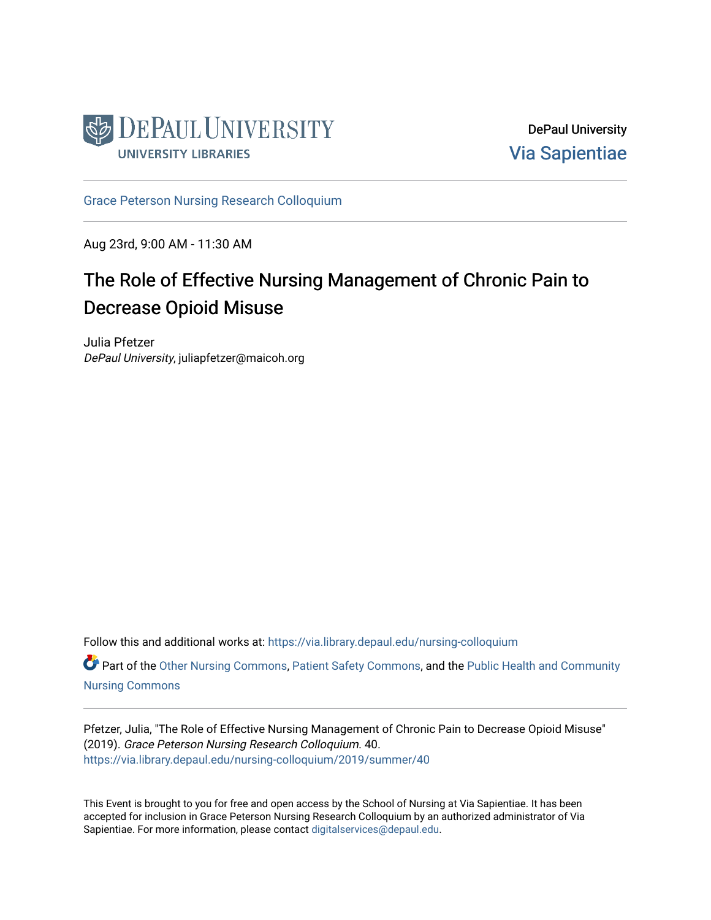

DePaul University [Via Sapientiae](https://via.library.depaul.edu/) 

[Grace Peterson Nursing Research Colloquium](https://via.library.depaul.edu/nursing-colloquium) 

Aug 23rd, 9:00 AM - 11:30 AM

## The Role of Effective Nursing Management of Chronic Pain to Decrease Opioid Misuse

Julia Pfetzer DePaul University, juliapfetzer@maicoh.org

Follow this and additional works at: [https://via.library.depaul.edu/nursing-colloquium](https://via.library.depaul.edu/nursing-colloquium?utm_source=via.library.depaul.edu%2Fnursing-colloquium%2F2019%2Fsummer%2F40&utm_medium=PDF&utm_campaign=PDFCoverPages)

Part of the [Other Nursing Commons](http://network.bepress.com/hgg/discipline/729?utm_source=via.library.depaul.edu%2Fnursing-colloquium%2F2019%2Fsummer%2F40&utm_medium=PDF&utm_campaign=PDFCoverPages), [Patient Safety Commons](http://network.bepress.com/hgg/discipline/1410?utm_source=via.library.depaul.edu%2Fnursing-colloquium%2F2019%2Fsummer%2F40&utm_medium=PDF&utm_campaign=PDFCoverPages), and the [Public Health and Community](http://network.bepress.com/hgg/discipline/725?utm_source=via.library.depaul.edu%2Fnursing-colloquium%2F2019%2Fsummer%2F40&utm_medium=PDF&utm_campaign=PDFCoverPages) [Nursing Commons](http://network.bepress.com/hgg/discipline/725?utm_source=via.library.depaul.edu%2Fnursing-colloquium%2F2019%2Fsummer%2F40&utm_medium=PDF&utm_campaign=PDFCoverPages)

Pfetzer, Julia, "The Role of Effective Nursing Management of Chronic Pain to Decrease Opioid Misuse" (2019). Grace Peterson Nursing Research Colloquium. 40. [https://via.library.depaul.edu/nursing-colloquium/2019/summer/40](https://via.library.depaul.edu/nursing-colloquium/2019/summer/40?utm_source=via.library.depaul.edu%2Fnursing-colloquium%2F2019%2Fsummer%2F40&utm_medium=PDF&utm_campaign=PDFCoverPages)

This Event is brought to you for free and open access by the School of Nursing at Via Sapientiae. It has been accepted for inclusion in Grace Peterson Nursing Research Colloquium by an authorized administrator of Via Sapientiae. For more information, please contact [digitalservices@depaul.edu](mailto:digitalservices@depaul.edu).